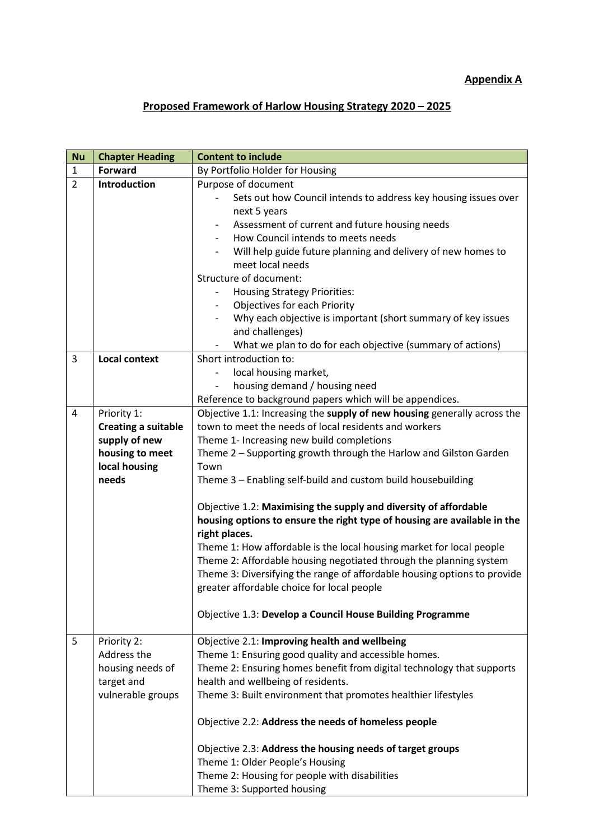## **Appendix A**

## **Proposed Framework of Harlow Housing Strategy 2020 – 2025**

| <b>Nu</b>      | <b>Chapter Heading</b>     | <b>Content to include</b>                                                                                                                                     |
|----------------|----------------------------|---------------------------------------------------------------------------------------------------------------------------------------------------------------|
| $\mathbf{1}$   | <b>Forward</b>             | By Portfolio Holder for Housing                                                                                                                               |
| $\overline{2}$ | <b>Introduction</b>        | Purpose of document                                                                                                                                           |
|                |                            | Sets out how Council intends to address key housing issues over                                                                                               |
|                |                            | next 5 years                                                                                                                                                  |
|                |                            | Assessment of current and future housing needs                                                                                                                |
|                |                            | How Council intends to meets needs                                                                                                                            |
|                |                            | Will help guide future planning and delivery of new homes to                                                                                                  |
|                |                            | meet local needs                                                                                                                                              |
|                |                            | Structure of document:                                                                                                                                        |
|                |                            | <b>Housing Strategy Priorities:</b>                                                                                                                           |
|                |                            | Objectives for each Priority                                                                                                                                  |
|                |                            | Why each objective is important (short summary of key issues                                                                                                  |
|                |                            | and challenges)                                                                                                                                               |
|                |                            | What we plan to do for each objective (summary of actions)                                                                                                    |
| 3              | <b>Local context</b>       | Short introduction to:                                                                                                                                        |
|                |                            | local housing market,                                                                                                                                         |
|                |                            | housing demand / housing need                                                                                                                                 |
|                |                            | Reference to background papers which will be appendices.                                                                                                      |
| 4              | Priority 1:                | Objective 1.1: Increasing the supply of new housing generally across the                                                                                      |
|                | <b>Creating a suitable</b> | town to meet the needs of local residents and workers                                                                                                         |
|                | supply of new              | Theme 1- Increasing new build completions                                                                                                                     |
|                | housing to meet            | Theme 2 - Supporting growth through the Harlow and Gilston Garden                                                                                             |
|                | local housing              | Town                                                                                                                                                          |
|                | needs                      | Theme 3 - Enabling self-build and custom build housebuilding                                                                                                  |
|                |                            | Objective 1.2: Maximising the supply and diversity of affordable<br>housing options to ensure the right type of housing are available in the<br>right places. |
|                |                            | Theme 1: How affordable is the local housing market for local people                                                                                          |
|                |                            | Theme 2: Affordable housing negotiated through the planning system                                                                                            |
|                |                            | Theme 3: Diversifying the range of affordable housing options to provide                                                                                      |
|                |                            | greater affordable choice for local people                                                                                                                    |
|                |                            |                                                                                                                                                               |
|                |                            | Objective 1.3: Develop a Council House Building Programme                                                                                                     |
|                |                            |                                                                                                                                                               |
| 5              | Priority 2:<br>Address the | Objective 2.1: Improving health and wellbeing                                                                                                                 |
|                | housing needs of           | Theme 1: Ensuring good quality and accessible homes.<br>Theme 2: Ensuring homes benefit from digital technology that supports                                 |
|                | target and                 | health and wellbeing of residents.                                                                                                                            |
|                | vulnerable groups          | Theme 3: Built environment that promotes healthier lifestyles                                                                                                 |
|                |                            |                                                                                                                                                               |
|                |                            | Objective 2.2: Address the needs of homeless people                                                                                                           |
|                |                            | Objective 2.3: Address the housing needs of target groups                                                                                                     |
|                |                            | Theme 1: Older People's Housing                                                                                                                               |
|                |                            | Theme 2: Housing for people with disabilities                                                                                                                 |
|                |                            | Theme 3: Supported housing                                                                                                                                    |
|                |                            |                                                                                                                                                               |